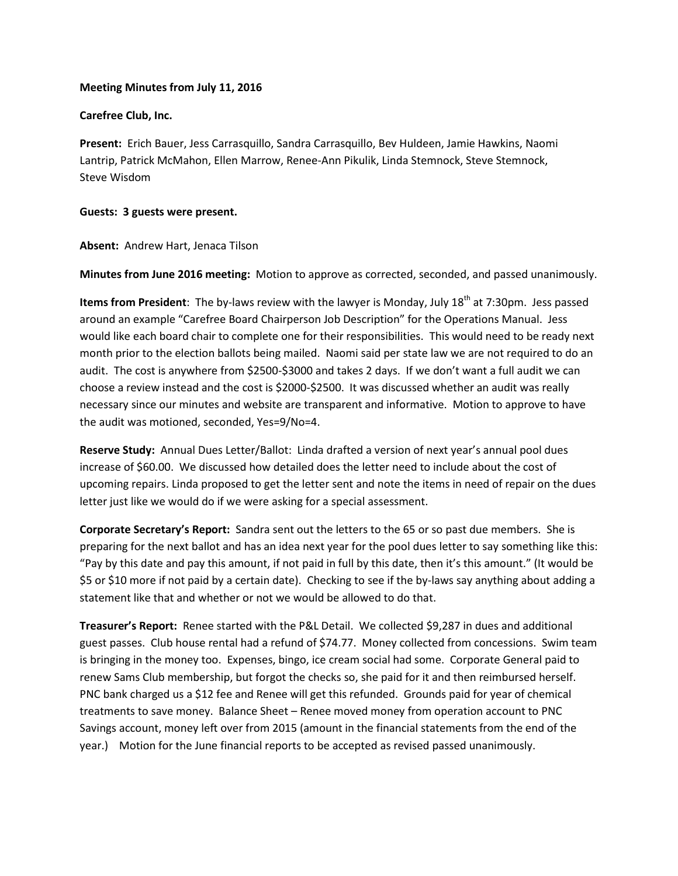## **Meeting Minutes from July 11, 2016**

# **Carefree Club, Inc.**

**Present:** Erich Bauer, Jess Carrasquillo, Sandra Carrasquillo, Bev Huldeen, Jamie Hawkins, Naomi Lantrip, Patrick McMahon, Ellen Marrow, Renee-Ann Pikulik, Linda Stemnock, Steve Stemnock, Steve Wisdom

## **Guests: 3 guests were present.**

## **Absent:** Andrew Hart, Jenaca Tilson

**Minutes from June 2016 meeting:** Motion to approve as corrected, seconded, and passed unanimously.

**Items from President**: The by-laws review with the lawyer is Monday, July 18<sup>th</sup> at 7:30pm. Jess passed around an example "Carefree Board Chairperson Job Description" for the Operations Manual. Jess would like each board chair to complete one for their responsibilities. This would need to be ready next month prior to the election ballots being mailed. Naomi said per state law we are not required to do an audit. The cost is anywhere from \$2500-\$3000 and takes 2 days. If we don't want a full audit we can choose a review instead and the cost is \$2000-\$2500. It was discussed whether an audit was really necessary since our minutes and website are transparent and informative. Motion to approve to have the audit was motioned, seconded, Yes=9/No=4.

**Reserve Study:** Annual Dues Letter/Ballot: Linda drafted a version of next year's annual pool dues increase of \$60.00. We discussed how detailed does the letter need to include about the cost of upcoming repairs. Linda proposed to get the letter sent and note the items in need of repair on the dues letter just like we would do if we were asking for a special assessment.

**Corporate Secretary's Report:** Sandra sent out the letters to the 65 or so past due members. She is preparing for the next ballot and has an idea next year for the pool dues letter to say something like this: "Pay by this date and pay this amount, if not paid in full by this date, then it's this amount." (It would be \$5 or \$10 more if not paid by a certain date). Checking to see if the by-laws say anything about adding a statement like that and whether or not we would be allowed to do that.

**Treasurer's Report:** Renee started with the P&L Detail. We collected \$9,287 in dues and additional guest passes. Club house rental had a refund of \$74.77. Money collected from concessions. Swim team is bringing in the money too. Expenses, bingo, ice cream social had some. Corporate General paid to renew Sams Club membership, but forgot the checks so, she paid for it and then reimbursed herself. PNC bank charged us a \$12 fee and Renee will get this refunded. Grounds paid for year of chemical treatments to save money. Balance Sheet – Renee moved money from operation account to PNC Savings account, money left over from 2015 (amount in the financial statements from the end of the year.) Motion for the June financial reports to be accepted as revised passed unanimously.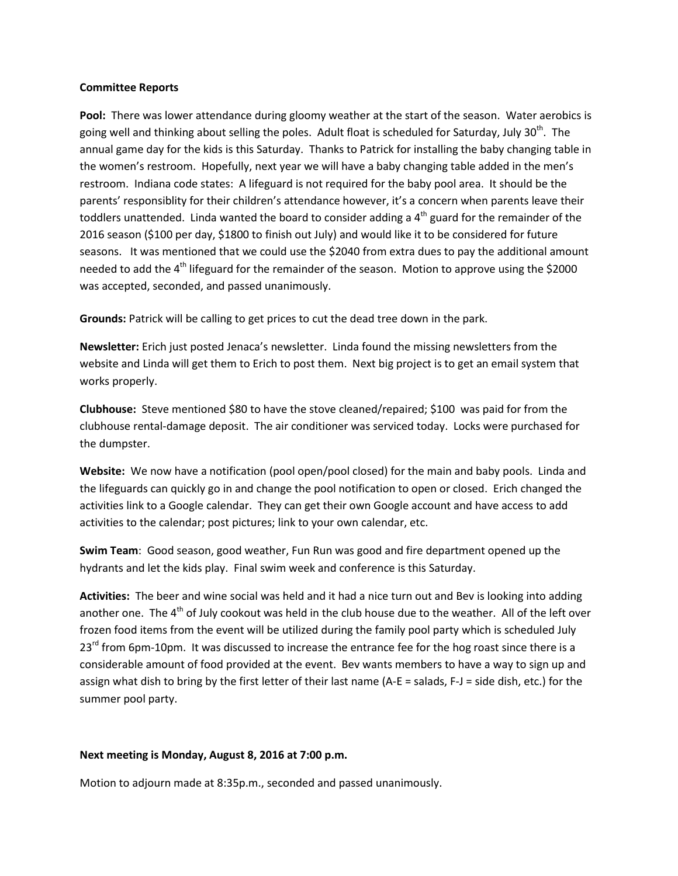#### **Committee Reports**

Pool: There was lower attendance during gloomy weather at the start of the season. Water aerobics is going well and thinking about selling the poles. Adult float is scheduled for Saturday, July 30<sup>th</sup>. The annual game day for the kids is this Saturday. Thanks to Patrick for installing the baby changing table in the women's restroom. Hopefully, next year we will have a baby changing table added in the men's restroom. Indiana code states: A lifeguard is not required for the baby pool area. It should be the parents' responsiblity for their children's attendance however, it's a concern when parents leave their toddlers unattended. Linda wanted the board to consider adding a  $4<sup>th</sup>$  guard for the remainder of the 2016 season (\$100 per day, \$1800 to finish out July) and would like it to be considered for future seasons. It was mentioned that we could use the \$2040 from extra dues to pay the additional amount needed to add the 4<sup>th</sup> lifeguard for the remainder of the season. Motion to approve using the \$2000 was accepted, seconded, and passed unanimously.

**Grounds:** Patrick will be calling to get prices to cut the dead tree down in the park.

**Newsletter:** Erich just posted Jenaca's newsletter. Linda found the missing newsletters from the website and Linda will get them to Erich to post them. Next big project is to get an email system that works properly.

**Clubhouse:** Steve mentioned \$80 to have the stove cleaned/repaired; \$100 was paid for from the clubhouse rental-damage deposit. The air conditioner was serviced today. Locks were purchased for the dumpster.

**Website:** We now have a notification (pool open/pool closed) for the main and baby pools. Linda and the lifeguards can quickly go in and change the pool notification to open or closed. Erich changed the activities link to a Google calendar. They can get their own Google account and have access to add activities to the calendar; post pictures; link to your own calendar, etc.

**Swim Team**: Good season, good weather, Fun Run was good and fire department opened up the hydrants and let the kids play. Final swim week and conference is this Saturday.

**Activities:** The beer and wine social was held and it had a nice turn out and Bev is looking into adding another one. The  $4<sup>th</sup>$  of July cookout was held in the club house due to the weather. All of the left over frozen food items from the event will be utilized during the family pool party which is scheduled July  $23<sup>rd</sup>$  from 6pm-10pm. It was discussed to increase the entrance fee for the hog roast since there is a considerable amount of food provided at the event. Bev wants members to have a way to sign up and assign what dish to bring by the first letter of their last name (A-E = salads, F-J = side dish, etc.) for the summer pool party.

#### **Next meeting is Monday, August 8, 2016 at 7:00 p.m.**

Motion to adjourn made at 8:35p.m., seconded and passed unanimously.